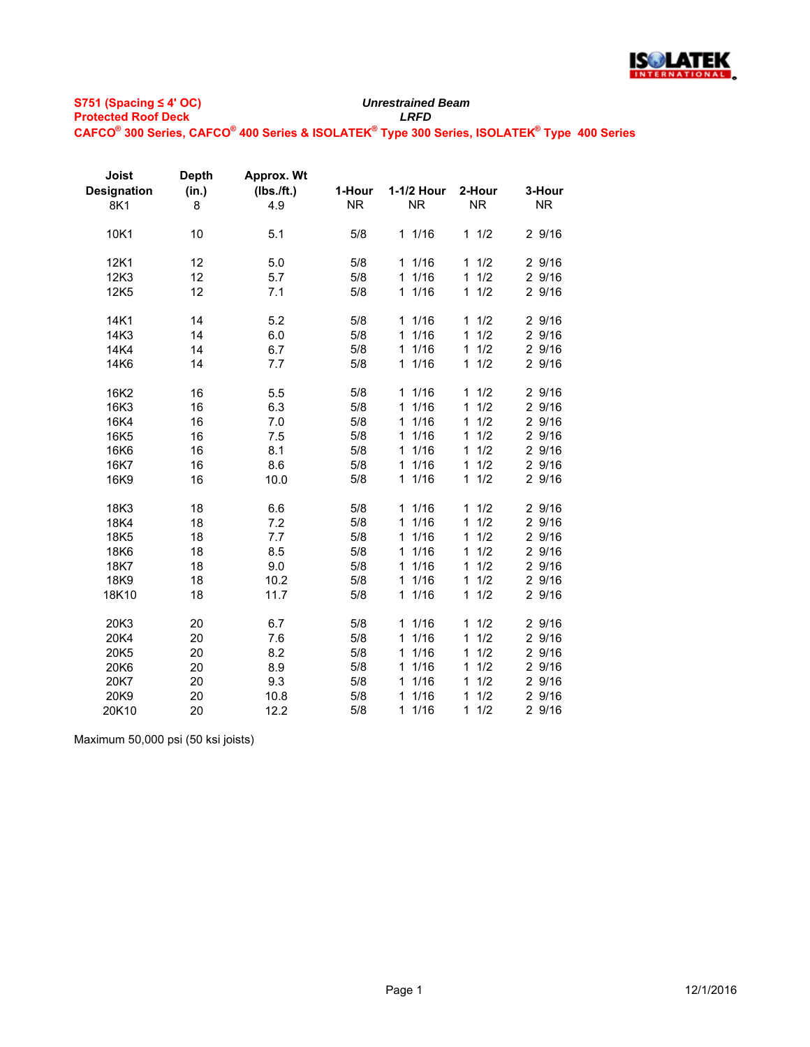

**S751 (Spacing ≤ 4' OC) Protected Roof Deck** *LRFD*

## *Unrestrained Beam*

**CAFCO® 300 Series, CAFCO® 400 Series & ISOLATEK® Type 300 Series, ISOLATEK® Type 400 Series**

| Joist<br><b>Designation</b><br>8K1 | <b>Depth</b><br>(in.)<br>8 | Approx. Wt<br>(Ibs./ft.)<br>4.9 | 1-Hour<br><b>NR</b> | 1-1/2 Hour<br><b>NR</b> | 2-Hour<br><b>NR</b> | 3-Hour<br><b>NR</b> |
|------------------------------------|----------------------------|---------------------------------|---------------------|-------------------------|---------------------|---------------------|
| 10K1                               | 10                         | 5.1                             | 5/8                 | 11/16                   | 11/2                | 2 9/16              |
| 12K1                               | 12                         | 5.0                             | 5/8                 | 11/16                   | 11/2                | 2 9/16              |
| 12K3                               | 12                         | 5.7                             | 5/8                 | 1/16<br>$\mathbf{1}$    | $\mathbf{1}$<br>1/2 | 2 9/16              |
| 12K5                               | 12                         | 7.1                             | 5/8                 | 1/16<br>$\mathbf{1}$    | 1/2<br>$\mathbf{1}$ | 29/16               |
| 14K1                               | 14                         | 5.2                             | 5/8                 | 11/16                   | 1/2<br>$\mathbf{1}$ | 2 9/16              |
| 14K3                               | 14                         | 6.0                             | 5/8                 | 1/16<br>1               | 1/2<br>$\mathbf{1}$ | 2 9/16              |
| 14K4                               | 14                         | 6.7                             | 5/8                 | 1/16<br>$\mathbf{1}$    | $\mathbf{1}$<br>1/2 | 2 9/16              |
| 14K6                               | 14                         | 7.7                             | 5/8                 | 1/16<br>$\mathbf{1}$    | 1/2<br>$\mathbf{1}$ | 29/16               |
| 16K2                               | 16                         | 5.5                             | 5/8                 | 11/16                   | 1/2<br>$\mathbf{1}$ | 29/16               |
| 16K3                               | 16                         | 6.3                             | 5/8                 | 1/16<br>1               | 1/2<br>1            | 29/16               |
| 16K4                               | 16                         | 7.0                             | 5/8                 | 1/16<br>1               | 1/2<br>$\mathbf{1}$ | 2 9/16              |
| 16K5                               | 16                         | 7.5                             | 5/8                 | 1/16<br>1               | 1/2<br>1            | 2 9/16              |
| 16K6                               | 16                         | 8.1                             | 5/8                 | 1/16<br>1               | 1/2<br>1            | 2 9/16              |
| 16K7                               | 16                         | 8.6                             | 5/8                 | 1/16<br>$\mathbf{1}$    | 1/2<br>$\mathbf{1}$ | 29/16               |
| 16K9                               | 16                         | 10.0                            | 5/8                 | 1/16<br>$\mathbf 1$     | 1/2<br>$\mathbf{1}$ | 2 9/16              |
| 18K3                               | 18                         | 6.6                             | 5/8                 | 11/16                   | 1/2<br>1            | 29/16               |
| 18K4                               | 18                         | 7.2                             | 5/8                 | 1/16<br>$\mathbf{1}$    | 1<br>1/2            | 2 9/16              |
| 18K5                               | 18                         | 7.7                             | 5/8                 | 1/16<br>1               | 1<br>1/2            | 29/16               |
| 18K6                               | 18                         | 8.5                             | 5/8                 | 1/16<br>1               | 1/2<br>1            | 2 9/16              |
| 18K7                               | 18                         | 9.0                             | 5/8                 | 1/16<br>$\mathbf{1}$    | 1/2<br>1            | 29/16               |
| 18K9                               | 18                         | 10.2                            | 5/8                 | 1<br>1/16               | 1/2<br>1            | 2 9/16              |
| 18K10                              | 18                         | 11.7                            | 5/8                 | 1/16<br>$\mathbf{1}$    | 1/2<br>1            | 2 9/16              |
| 20K3                               | 20                         | 6.7                             | 5/8                 | 1/16<br>$\mathbf{1}$    | 1/2<br>1            | 29/16               |
| 20K4                               | 20                         | 7.6                             | 5/8                 | 1/16<br>$\mathbf{1}$    | 1/2<br>1            | 2 9/16              |
| 20K5                               | 20                         | 8.2                             | 5/8                 | 1/16<br>$\mathbf{1}$    | 1/2<br>1            | 2 9/16              |
| 20K6                               | 20                         | 8.9                             | 5/8                 | 1/16<br>$\mathbf{1}$    | 1<br>1/2            | 2 9/16              |
| 20K7                               | 20                         | 9.3                             | 5/8                 | 1/16<br>1               | 1/2<br>$\mathbf{1}$ | 29/16               |
| 20K9                               | 20                         | 10.8                            | 5/8                 | 1/16<br>1               | 1<br>1/2            | 2 9/16              |
| 20K10                              | 20                         | 12.2                            | 5/8                 | $\mathbf{1}$<br>1/16    | 1<br>1/2            | 2 9/16              |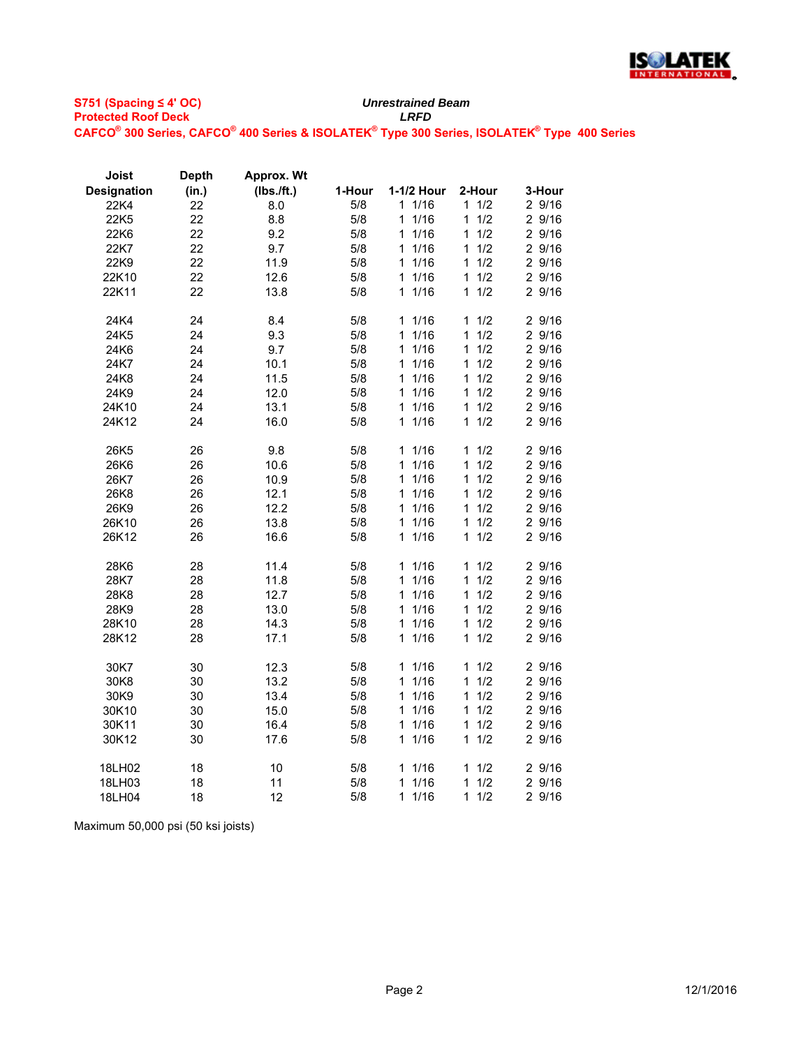

| Joist              | <b>Depth</b> | Approx. Wt |        |                      |                     |        |
|--------------------|--------------|------------|--------|----------------------|---------------------|--------|
| <b>Designation</b> | (in.)        | (Ibs./ft.) | 1-Hour | 1-1/2 Hour           | 2-Hour              | 3-Hour |
| 22K4               | 22           | 8.0        | 5/8    | 11/16                | 11/2                | 2 9/16 |
| 22K5               | 22           | 8.8        | 5/8    | 1/16<br>1            | 1/2<br>1            | 2 9/16 |
| 22K6               | 22           | 9.2        | 5/8    | 1/16<br>1            | 1/2<br>1            | 2 9/16 |
| 22K7               | 22           | 9.7        | 5/8    | 1<br>1/16            | 1/2<br>1            | 2 9/16 |
| 22K9               | 22           | 11.9       | 5/8    | 1/16<br>1.           | 1/2<br>1            | 2 9/16 |
| 22K10              | 22           | 12.6       | 5/8    | 1/16<br>1            | 1<br>1/2            | 2 9/16 |
| 22K11              | 22           | 13.8       | 5/8    | $\mathbf{1}$<br>1/16 | 1/2<br>1            | 2 9/16 |
| 24K4               | 24           | 8.4        | 5/8    | 1/16<br>1.           | 1/2<br>1.           | 2 9/16 |
| 24K5               | 24           | 9.3        | 5/8    | 1/16<br>$\mathbf 1$  | 1/2<br>1            | 29/16  |
| 24K6               | 24           | 9.7        | 5/8    | 1/16<br>$\mathbf 1$  | 1<br>1/2            | 2 9/16 |
| 24K7               | 24           | 10.1       | 5/8    | 1/16<br>1.           | 1/2<br>1            | 2 9/16 |
| 24K8               | 24           | 11.5       | 5/8    | 1/16<br>$\mathbf{1}$ | 1/2<br>1            | 2 9/16 |
| 24K9               | 24           | 12.0       | 5/8    | 1/16<br>1            | 1/2<br>1            | 2 9/16 |
| 24K10              | 24           | 13.1       | 5/8    | 1/16<br>1.           | 1/2<br>1            | 2 9/16 |
| 24K12              | 24           | 16.0       | 5/8    | 1/16<br>1            | 1/2<br>1            | 2 9/16 |
| 26K5               | 26           | 9.8        | 5/8    | 11/16                | 1/2<br>1            | 2 9/16 |
| 26K6               | 26           | 10.6       | 5/8    | 1/16<br>1            | 1/2<br>1            | 2 9/16 |
| 26K7               | 26           | 10.9       | 5/8    | 1/16<br>1            | 1/2<br>1            | 2 9/16 |
| 26K8               | 26           | 12.1       | 5/8    | 1/16<br>1            | 1/2<br>1            | 2 9/16 |
| 26K9               | 26           | 12.2       | 5/8    | 1/16<br>$\mathbf{1}$ | 1/2<br>1            | 2 9/16 |
| 26K10              | 26           | 13.8       | 5/8    | 1/16<br>$\mathbf{1}$ | 1/2<br>1            | 2 9/16 |
| 26K12              | 26           | 16.6       | 5/8    | 1/16<br>$\mathbf{1}$ | 1/2<br>1            | 2 9/16 |
| 28K6               | 28           | 11.4       | 5/8    | 1/16<br>1.           | 1/2<br>1            | 2 9/16 |
| 28K7               | 28           | 11.8       | 5/8    | 1/16<br>$\mathbf{1}$ | 1/2<br>$\mathbf{1}$ | 2 9/16 |
| 28K8               | 28           | 12.7       | 5/8    | 1/16<br>1            | 1/2<br>1            | 2 9/16 |
| 28K9               | 28           | 13.0       | 5/8    | $\mathbf{1}$<br>1/16 | 1/2<br>1            | 2 9/16 |
| 28K10              | 28           | 14.3       | 5/8    | 1/16<br>1            | 1/2<br>1            | 2 9/16 |
| 28K12              | 28           | 17.1       | 5/8    | 1/16<br>1.           | 1/2<br>1            | 2 9/16 |
| 30K7               | 30           | 12.3       | 5/8    | 11/16                | 1/2<br>1.           | 2 9/16 |
| 30K8               | 30           | 13.2       | 5/8    | 1/16<br>$\mathbf 1$  | 1/2<br>1            | 2 9/16 |
| 30K9               | 30           | 13.4       | 5/8    | 11/16                | 1/2<br>1            | 2 9/16 |
| 30K10              | 30           | 15.0       | 5/8    | 1/16<br>1            | 1/2<br>1            | 2 9/16 |
| 30K11              | 30           | 16.4       | 5/8    | 1/16<br>1            | 1/2<br>1            | 2 9/16 |
| 30K12              | 30           | 17.6       | 5/8    | 1/16<br>1            | 1/2<br>1            | 2 9/16 |
| 18LH02             | 18           | 10         | 5/8    | 11/16                | 1/2<br>1            | 2 9/16 |
| 18LH03             | 18           | 11         | 5/8    | 1/16<br>1            | 1/2<br>1            | 2 9/16 |
| 18LH04             | 18           | 12         | 5/8    | 11/16                | 11/2                | 2 9/16 |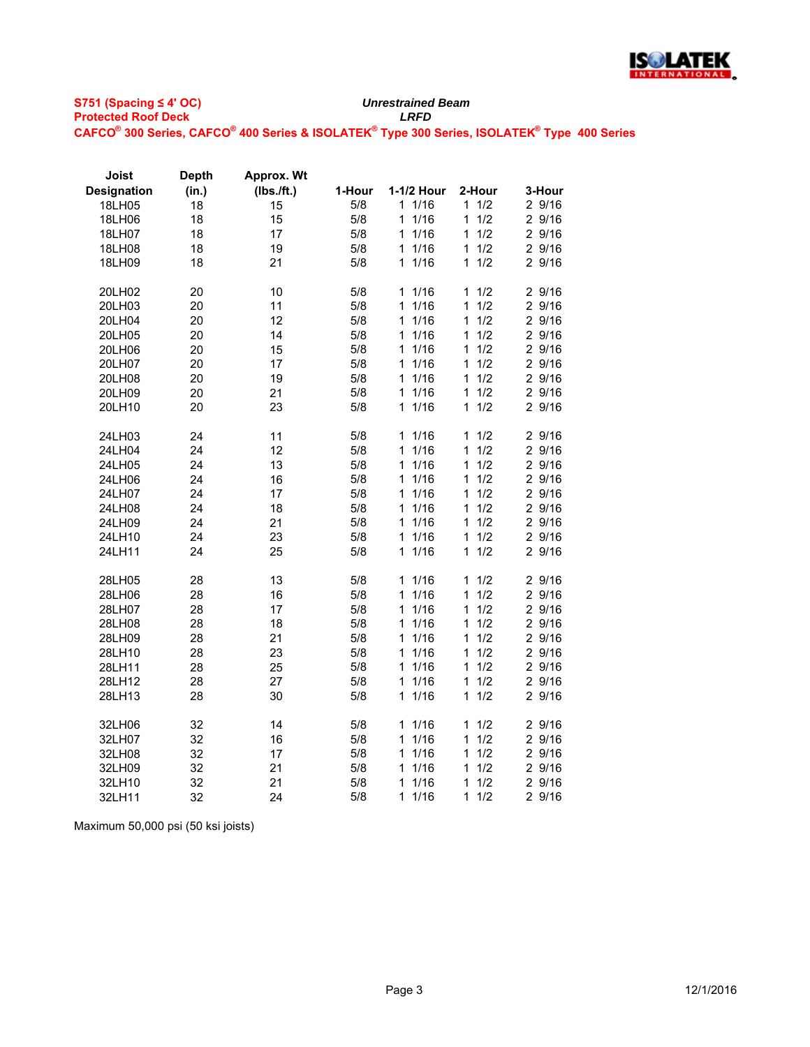

| Joist              | <b>Depth</b> | <b>Approx. Wt</b> |        |                      |                     |        |
|--------------------|--------------|-------------------|--------|----------------------|---------------------|--------|
| <b>Designation</b> | (in.)        | (Ibs./ft.)        | 1-Hour | 1-1/2 Hour           | 2-Hour              | 3-Hour |
| 18LH05             | 18           | 15                | 5/8    | 11/16                | 1/2<br>$\mathbf 1$  | 2 9/16 |
| 18LH06             | 18           | 15                | 5/8    | 1/16<br>1            | $\mathbf{1}$<br>1/2 | 2 9/16 |
| 18LH07             | 18           | 17                | 5/8    | 1/16<br>1            | 1/2<br>1            | 2 9/16 |
| 18LH08             | 18           | 19                | 5/8    | 11/16                | $\mathbf{1}$<br>1/2 | 2 9/16 |
| 18LH09             | 18           | 21                | 5/8    | 11/16                | 1/2<br>$\mathbf{1}$ | 2 9/16 |
|                    |              |                   |        |                      |                     |        |
| 20LH02             | 20           | 10                | 5/8    | 11/16                | 1/2<br>1            | 29/16  |
| 20LH03             | 20           | 11                | 5/8    | $\mathbf{1}$<br>1/16 | 1/2<br>1            | 2 9/16 |
| 20LH04             | 20           | 12                | 5/8    | 1/16<br>$\mathbf{1}$ | 1/2<br>$\mathbf{1}$ | 2 9/16 |
| 20LH05             | 20           | 14                | 5/8    | 1/16<br>1            | 1/2<br>1            | 2 9/16 |
| 20LH06             | 20           | 15                | 5/8    | 1/16<br>1            | 1/2<br>1            | 2 9/16 |
| 20LH07             | 20           | 17                | 5/8    | 1/16<br>$\mathbf{1}$ | 1/2<br>$\mathbf{1}$ | 2 9/16 |
| 20LH08             | 20           | 19                | 5/8    | 1/16<br>$\mathbf{1}$ | 1/2<br>1            | 2 9/16 |
| 20LH09             | 20           | 21                | 5/8    | 1/16<br>1            | 1/2<br>1            | 2 9/16 |
| 20LH10             | 20           | 23                | 5/8    | 1/16<br>1            | 1/2<br>1            | 2 9/16 |
|                    |              |                   |        |                      |                     |        |
| 24LH03             | 24           | 11                | 5/8    | 11/16                | 1/2<br>1            | 2 9/16 |
| 24LH04             | 24           | 12                | 5/8    | 1/16<br>1            | 1/2<br>1            | 2 9/16 |
| 24LH05             | 24           | 13                | 5/8    | 1/16<br>1            | 1/2<br>1            | 2 9/16 |
| 24LH06             | 24           | 16                | 5/8    | 1/16<br>1            | 1/2<br>1            | 2 9/16 |
| 24LH07             | 24           | 17                | 5/8    | 1/16<br>$\mathbf{1}$ | 1/2<br>1            | 2 9/16 |
| 24LH08             | 24           | 18                | 5/8    | 1/16<br>1            | 1<br>1/2            | 2 9/16 |
| 24LH09             | 24           | 21                | 5/8    | 1/16<br>$\mathbf{1}$ | 1/2<br>1            | 2 9/16 |
| 24LH10             | 24           | 23                | 5/8    | 1/16<br>1            | 1<br>1/2            | 2 9/16 |
| 24LH11             | 24           | 25                | 5/8    | 1/16<br>1            | 1/2<br>1            | 2 9/16 |
|                    |              |                   |        |                      |                     |        |
| 28LH05             | 28           | 13                | 5/8    | 11/16                | 1/2<br>1            | 2 9/16 |
| 28LH06             | 28           | 16                | 5/8    | $1/16$<br>1          | 1/2<br>1            | 29/16  |
| 28LH07             | 28           | 17                | 5/8    | 1/16<br>1            | 1/2<br>1            | 2 9/16 |
| 28LH08             | 28           | 18                | 5/8    | 1/16<br>$\mathbf{1}$ | 1/2<br>1            | 2 9/16 |
| 28LH09             | 28           | 21                | 5/8    | 1/16<br>1            | 1<br>1/2            | 2 9/16 |
| 28LH10             | 28           | 23                | 5/8    | 1/16<br>1            | 1/2<br>1            | 2 9/16 |
| 28LH11             | 28           | 25                | 5/8    | 1/16<br>$\mathbf{1}$ | 1/2<br>$\mathbf{1}$ | 2 9/16 |
| 28LH12             | 28           | 27                | 5/8    | 1/16<br>1            | 1<br>1/2            | 2 9/16 |
| 28LH13             | 28           | 30                | 5/8    | 1/16<br>1            | 1/2<br>1            | 2 9/16 |
|                    |              |                   |        |                      |                     |        |
| 32LH06             | 32           | 14                | 5/8    | 11/16                | 1/2<br>1            | 2 9/16 |
| 32LH07             | 32           | 16                | 5/8    | 1/16<br>$\mathbf{1}$ | 1/2<br>1            | 2 9/16 |
| 32LH08             | 32           | 17                | 5/8    | 1/16<br>1            | 1/2<br>1            | 2 9/16 |
| 32LH09             | 32           | 21                | 5/8    | 1/16<br>1            | 1/2<br>1            | 2 9/16 |
| 32LH10             | 32           | 21                | 5/8    | 1/16<br>1            | 1<br>1/2            | 2 9/16 |
| 32LH11             | 32           | 24                | 5/8    | 1/16<br>1            | 1/2<br>1            | 2 9/16 |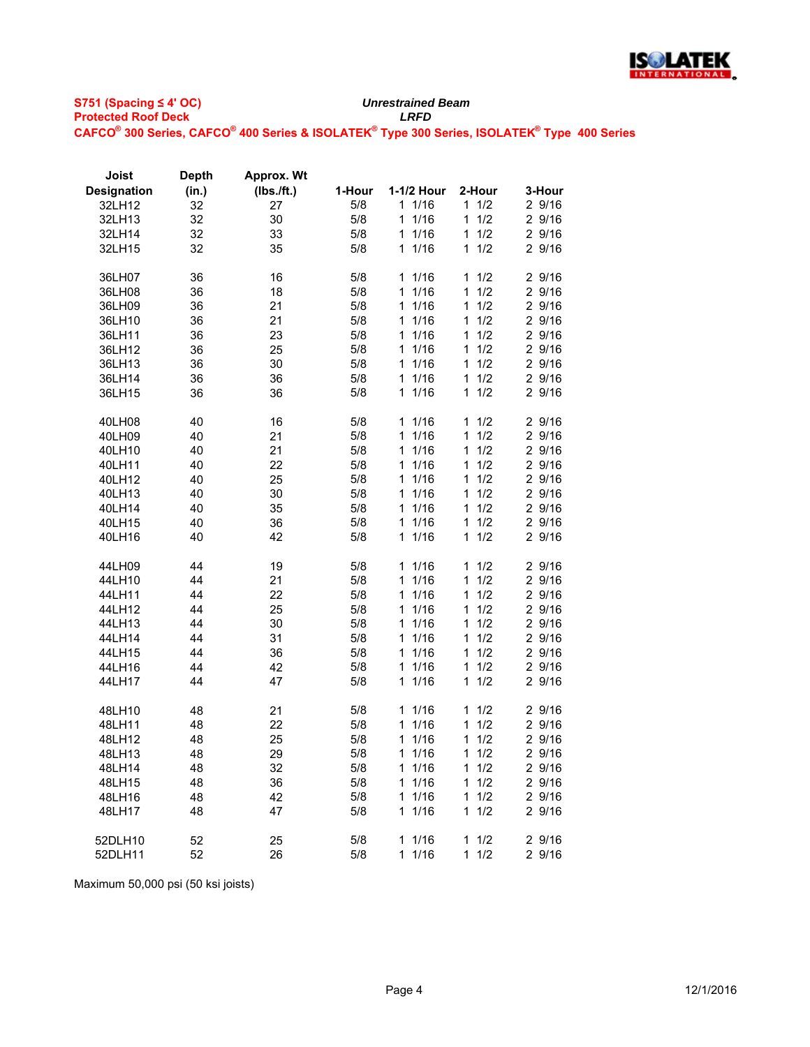

| (Ibs./ft.)<br><b>Designation</b><br>(in.)<br>1-Hour<br>1-1/2 Hour<br>2-Hour<br>3-Hour<br>5/8<br>1 1/16<br>11/2<br>2 9/16<br>32<br>27<br>32LH12<br>30<br>32<br>5/8<br>1/16<br>1/2<br>2 9/16<br>32LH13<br>1<br>1.<br>32<br>33<br>5/8<br>1<br>1/16<br>$\mathbf{1}$<br>1/2<br>2 9/16<br>32LH14<br>32LH15<br>32<br>35<br>5/8<br>1<br>1/16<br>$\mathbf{1}$<br>1/2<br>2 9/16<br>2 9/16<br>36LH07<br>36<br>16<br>5/8<br>11/16<br>11/2<br>36LH08<br>36<br>18<br>5/8<br>1/16<br>$\mathbf{1}$<br>1/2<br>2 9/16<br>1<br>1 1/16<br>1/2<br>2 9/16<br>36<br>21<br>5/8<br>$\mathbf{1}$<br>36LH09<br>1/2<br>21<br>5/8<br>1/16<br>2 9/16<br>36<br>1<br>1<br>36LH10<br>23<br>5/8<br>1/16<br>$\mathbf{1}$<br>1/2<br>2 9/16<br>36<br>1<br>36LH11<br>25<br>1/16<br>1/2<br>36LH12<br>36<br>5/8<br>1<br>$\mathbf{1}$<br>2 9/16<br>30<br>5/8<br>1/16<br>1/2<br>2 9/16<br>36LH13<br>36<br>1<br>1<br>5/8<br>11/16<br>1/2<br>2 9/16<br>36LH14<br>36<br>36<br>$\mathbf 1$<br>36<br>$1/16$<br>1/2<br>2 9/16<br>36LH15<br>36<br>5/8<br>1<br>1<br>$1/16$<br>1/2<br>2 9/16<br>40<br>5/8<br>1<br>40LH08<br>16<br>1<br>1/16<br>$\mathbf{1}$<br>1/2<br>2 9/16<br>40<br>21<br>5/8<br>1<br>40LH09<br>1/2<br>40<br>21<br>5/8<br>1<br>1/16<br>$\mathbf 1$<br>2 9/16<br>40LH10<br>22<br>40<br>5/8<br>1<br>1/16<br>1<br>1/2<br>2 9/16<br>40LH11<br>25<br>1/2<br>40<br>5/8<br>1/16<br>$\mathbf{1}$<br>2 9/16<br>40LH12<br>1<br>30<br>1/2<br>40<br>5/8<br>1/16<br>2 9/16<br>40LH13<br>1<br>1<br>1/2<br>40LH14<br>40<br>35<br>5/8<br>11/16<br>2 9/16<br>$\mathbf{1}$<br>40LH15<br>40<br>36<br>5/8<br>1/16<br>1/2<br>2 9/16<br>1<br>1<br>1/16<br>40<br>42<br>5/8<br>1/2<br>2 9/16<br>40LH16<br>1.<br>$\mathbf{1}$<br>5/8<br>1/16<br>1/2<br>2 9/16<br>44LH09<br>44<br>19<br>1<br>1<br>44<br>21<br>1/16<br>1/2<br>44LH10<br>5/8<br>1<br>$\mathbf{1}$<br>2 9/16<br>22<br>1/16<br>1/2<br>2 9/16<br>44LH11<br>44<br>5/8<br>1<br>1<br>25<br>2 9/16<br>44LH12<br>44<br>5/8<br>11/16<br>$\mathbf{1}$<br>1/2<br>44<br>30<br>5/8<br>1/16<br>1/2<br>2 9/16<br>44LH13<br>$\mathbf{1}$<br>1<br>44<br>31<br>1/16<br>1/2<br>2 9/16<br>44LH14<br>5/8<br>$\mathbf 1$<br>$\mathbf{1}$<br>44<br>36<br>1/2<br>2 9/16<br>5/8<br>1/16<br>$\mathbf{1}$<br>44LH15<br>1<br>1/16<br>1/2<br>2 9/16<br>44<br>42<br>5/8<br>1<br>1<br>44LH16<br>1/16<br>1/2<br>44<br>47<br>5/8<br>1<br>$\mathbf 1$<br>2 9/16<br>44LH17<br>1/2<br>48LH10<br>48<br>21<br>5/8<br>11/16<br>$\mathbf{1}$<br>2 9/16<br>22<br>48<br>5/8<br>1/16<br>1/2<br>2 9/16<br>48LH11<br>1<br>1<br>48<br>25<br>5/8<br>1/16<br>1/2<br>2 9/16<br>48LH12<br>1<br>1<br>48<br>29<br>1/16<br>1/2<br>2 9/16<br>48LH13<br>5/8<br>1<br>$\mathbf 1$<br>48<br>32<br>1/16<br>1/2<br>2 9/16<br>48LH14<br>5/8<br>1<br>$\mathbf 1$<br>48<br>36<br>1/16<br>1/2<br>2 9/16<br>48LH15<br>5/8<br>1<br>1.<br>5/8<br>1<br>1/16<br>1<br>1/2<br>2 9/16<br>48LH16<br>48<br>42<br>5/8<br>11/16<br>$\mathbf{1}$<br>1/2<br>2 9/16<br>48<br>47<br>48LH17 | Joist   | <b>Depth</b> | <b>Approx. Wt</b> |     |           |          |        |
|---------------------------------------------------------------------------------------------------------------------------------------------------------------------------------------------------------------------------------------------------------------------------------------------------------------------------------------------------------------------------------------------------------------------------------------------------------------------------------------------------------------------------------------------------------------------------------------------------------------------------------------------------------------------------------------------------------------------------------------------------------------------------------------------------------------------------------------------------------------------------------------------------------------------------------------------------------------------------------------------------------------------------------------------------------------------------------------------------------------------------------------------------------------------------------------------------------------------------------------------------------------------------------------------------------------------------------------------------------------------------------------------------------------------------------------------------------------------------------------------------------------------------------------------------------------------------------------------------------------------------------------------------------------------------------------------------------------------------------------------------------------------------------------------------------------------------------------------------------------------------------------------------------------------------------------------------------------------------------------------------------------------------------------------------------------------------------------------------------------------------------------------------------------------------------------------------------------------------------------------------------------------------------------------------------------------------------------------------------------------------------------------------------------------------------------------------------------------------------------------------------------------------------------------------------------------------------------------------------------------------------------------------------------------------------------------------------------------------------------------------------------------------------------------------------------------------------------------------------------------------------------------------------------|---------|--------------|-------------------|-----|-----------|----------|--------|
|                                                                                                                                                                                                                                                                                                                                                                                                                                                                                                                                                                                                                                                                                                                                                                                                                                                                                                                                                                                                                                                                                                                                                                                                                                                                                                                                                                                                                                                                                                                                                                                                                                                                                                                                                                                                                                                                                                                                                                                                                                                                                                                                                                                                                                                                                                                                                                                                                                                                                                                                                                                                                                                                                                                                                                                                                                                                                                               |         |              |                   |     |           |          |        |
|                                                                                                                                                                                                                                                                                                                                                                                                                                                                                                                                                                                                                                                                                                                                                                                                                                                                                                                                                                                                                                                                                                                                                                                                                                                                                                                                                                                                                                                                                                                                                                                                                                                                                                                                                                                                                                                                                                                                                                                                                                                                                                                                                                                                                                                                                                                                                                                                                                                                                                                                                                                                                                                                                                                                                                                                                                                                                                               |         |              |                   |     |           |          |        |
|                                                                                                                                                                                                                                                                                                                                                                                                                                                                                                                                                                                                                                                                                                                                                                                                                                                                                                                                                                                                                                                                                                                                                                                                                                                                                                                                                                                                                                                                                                                                                                                                                                                                                                                                                                                                                                                                                                                                                                                                                                                                                                                                                                                                                                                                                                                                                                                                                                                                                                                                                                                                                                                                                                                                                                                                                                                                                                               |         |              |                   |     |           |          |        |
|                                                                                                                                                                                                                                                                                                                                                                                                                                                                                                                                                                                                                                                                                                                                                                                                                                                                                                                                                                                                                                                                                                                                                                                                                                                                                                                                                                                                                                                                                                                                                                                                                                                                                                                                                                                                                                                                                                                                                                                                                                                                                                                                                                                                                                                                                                                                                                                                                                                                                                                                                                                                                                                                                                                                                                                                                                                                                                               |         |              |                   |     |           |          |        |
|                                                                                                                                                                                                                                                                                                                                                                                                                                                                                                                                                                                                                                                                                                                                                                                                                                                                                                                                                                                                                                                                                                                                                                                                                                                                                                                                                                                                                                                                                                                                                                                                                                                                                                                                                                                                                                                                                                                                                                                                                                                                                                                                                                                                                                                                                                                                                                                                                                                                                                                                                                                                                                                                                                                                                                                                                                                                                                               |         |              |                   |     |           |          |        |
|                                                                                                                                                                                                                                                                                                                                                                                                                                                                                                                                                                                                                                                                                                                                                                                                                                                                                                                                                                                                                                                                                                                                                                                                                                                                                                                                                                                                                                                                                                                                                                                                                                                                                                                                                                                                                                                                                                                                                                                                                                                                                                                                                                                                                                                                                                                                                                                                                                                                                                                                                                                                                                                                                                                                                                                                                                                                                                               |         |              |                   |     |           |          |        |
|                                                                                                                                                                                                                                                                                                                                                                                                                                                                                                                                                                                                                                                                                                                                                                                                                                                                                                                                                                                                                                                                                                                                                                                                                                                                                                                                                                                                                                                                                                                                                                                                                                                                                                                                                                                                                                                                                                                                                                                                                                                                                                                                                                                                                                                                                                                                                                                                                                                                                                                                                                                                                                                                                                                                                                                                                                                                                                               |         |              |                   |     |           |          |        |
|                                                                                                                                                                                                                                                                                                                                                                                                                                                                                                                                                                                                                                                                                                                                                                                                                                                                                                                                                                                                                                                                                                                                                                                                                                                                                                                                                                                                                                                                                                                                                                                                                                                                                                                                                                                                                                                                                                                                                                                                                                                                                                                                                                                                                                                                                                                                                                                                                                                                                                                                                                                                                                                                                                                                                                                                                                                                                                               |         |              |                   |     |           |          |        |
|                                                                                                                                                                                                                                                                                                                                                                                                                                                                                                                                                                                                                                                                                                                                                                                                                                                                                                                                                                                                                                                                                                                                                                                                                                                                                                                                                                                                                                                                                                                                                                                                                                                                                                                                                                                                                                                                                                                                                                                                                                                                                                                                                                                                                                                                                                                                                                                                                                                                                                                                                                                                                                                                                                                                                                                                                                                                                                               |         |              |                   |     |           |          |        |
|                                                                                                                                                                                                                                                                                                                                                                                                                                                                                                                                                                                                                                                                                                                                                                                                                                                                                                                                                                                                                                                                                                                                                                                                                                                                                                                                                                                                                                                                                                                                                                                                                                                                                                                                                                                                                                                                                                                                                                                                                                                                                                                                                                                                                                                                                                                                                                                                                                                                                                                                                                                                                                                                                                                                                                                                                                                                                                               |         |              |                   |     |           |          |        |
|                                                                                                                                                                                                                                                                                                                                                                                                                                                                                                                                                                                                                                                                                                                                                                                                                                                                                                                                                                                                                                                                                                                                                                                                                                                                                                                                                                                                                                                                                                                                                                                                                                                                                                                                                                                                                                                                                                                                                                                                                                                                                                                                                                                                                                                                                                                                                                                                                                                                                                                                                                                                                                                                                                                                                                                                                                                                                                               |         |              |                   |     |           |          |        |
|                                                                                                                                                                                                                                                                                                                                                                                                                                                                                                                                                                                                                                                                                                                                                                                                                                                                                                                                                                                                                                                                                                                                                                                                                                                                                                                                                                                                                                                                                                                                                                                                                                                                                                                                                                                                                                                                                                                                                                                                                                                                                                                                                                                                                                                                                                                                                                                                                                                                                                                                                                                                                                                                                                                                                                                                                                                                                                               |         |              |                   |     |           |          |        |
|                                                                                                                                                                                                                                                                                                                                                                                                                                                                                                                                                                                                                                                                                                                                                                                                                                                                                                                                                                                                                                                                                                                                                                                                                                                                                                                                                                                                                                                                                                                                                                                                                                                                                                                                                                                                                                                                                                                                                                                                                                                                                                                                                                                                                                                                                                                                                                                                                                                                                                                                                                                                                                                                                                                                                                                                                                                                                                               |         |              |                   |     |           |          |        |
|                                                                                                                                                                                                                                                                                                                                                                                                                                                                                                                                                                                                                                                                                                                                                                                                                                                                                                                                                                                                                                                                                                                                                                                                                                                                                                                                                                                                                                                                                                                                                                                                                                                                                                                                                                                                                                                                                                                                                                                                                                                                                                                                                                                                                                                                                                                                                                                                                                                                                                                                                                                                                                                                                                                                                                                                                                                                                                               |         |              |                   |     |           |          |        |
|                                                                                                                                                                                                                                                                                                                                                                                                                                                                                                                                                                                                                                                                                                                                                                                                                                                                                                                                                                                                                                                                                                                                                                                                                                                                                                                                                                                                                                                                                                                                                                                                                                                                                                                                                                                                                                                                                                                                                                                                                                                                                                                                                                                                                                                                                                                                                                                                                                                                                                                                                                                                                                                                                                                                                                                                                                                                                                               |         |              |                   |     |           |          |        |
|                                                                                                                                                                                                                                                                                                                                                                                                                                                                                                                                                                                                                                                                                                                                                                                                                                                                                                                                                                                                                                                                                                                                                                                                                                                                                                                                                                                                                                                                                                                                                                                                                                                                                                                                                                                                                                                                                                                                                                                                                                                                                                                                                                                                                                                                                                                                                                                                                                                                                                                                                                                                                                                                                                                                                                                                                                                                                                               |         |              |                   |     |           |          |        |
|                                                                                                                                                                                                                                                                                                                                                                                                                                                                                                                                                                                                                                                                                                                                                                                                                                                                                                                                                                                                                                                                                                                                                                                                                                                                                                                                                                                                                                                                                                                                                                                                                                                                                                                                                                                                                                                                                                                                                                                                                                                                                                                                                                                                                                                                                                                                                                                                                                                                                                                                                                                                                                                                                                                                                                                                                                                                                                               |         |              |                   |     |           |          |        |
|                                                                                                                                                                                                                                                                                                                                                                                                                                                                                                                                                                                                                                                                                                                                                                                                                                                                                                                                                                                                                                                                                                                                                                                                                                                                                                                                                                                                                                                                                                                                                                                                                                                                                                                                                                                                                                                                                                                                                                                                                                                                                                                                                                                                                                                                                                                                                                                                                                                                                                                                                                                                                                                                                                                                                                                                                                                                                                               |         |              |                   |     |           |          |        |
|                                                                                                                                                                                                                                                                                                                                                                                                                                                                                                                                                                                                                                                                                                                                                                                                                                                                                                                                                                                                                                                                                                                                                                                                                                                                                                                                                                                                                                                                                                                                                                                                                                                                                                                                                                                                                                                                                                                                                                                                                                                                                                                                                                                                                                                                                                                                                                                                                                                                                                                                                                                                                                                                                                                                                                                                                                                                                                               |         |              |                   |     |           |          |        |
|                                                                                                                                                                                                                                                                                                                                                                                                                                                                                                                                                                                                                                                                                                                                                                                                                                                                                                                                                                                                                                                                                                                                                                                                                                                                                                                                                                                                                                                                                                                                                                                                                                                                                                                                                                                                                                                                                                                                                                                                                                                                                                                                                                                                                                                                                                                                                                                                                                                                                                                                                                                                                                                                                                                                                                                                                                                                                                               |         |              |                   |     |           |          |        |
|                                                                                                                                                                                                                                                                                                                                                                                                                                                                                                                                                                                                                                                                                                                                                                                                                                                                                                                                                                                                                                                                                                                                                                                                                                                                                                                                                                                                                                                                                                                                                                                                                                                                                                                                                                                                                                                                                                                                                                                                                                                                                                                                                                                                                                                                                                                                                                                                                                                                                                                                                                                                                                                                                                                                                                                                                                                                                                               |         |              |                   |     |           |          |        |
|                                                                                                                                                                                                                                                                                                                                                                                                                                                                                                                                                                                                                                                                                                                                                                                                                                                                                                                                                                                                                                                                                                                                                                                                                                                                                                                                                                                                                                                                                                                                                                                                                                                                                                                                                                                                                                                                                                                                                                                                                                                                                                                                                                                                                                                                                                                                                                                                                                                                                                                                                                                                                                                                                                                                                                                                                                                                                                               |         |              |                   |     |           |          |        |
|                                                                                                                                                                                                                                                                                                                                                                                                                                                                                                                                                                                                                                                                                                                                                                                                                                                                                                                                                                                                                                                                                                                                                                                                                                                                                                                                                                                                                                                                                                                                                                                                                                                                                                                                                                                                                                                                                                                                                                                                                                                                                                                                                                                                                                                                                                                                                                                                                                                                                                                                                                                                                                                                                                                                                                                                                                                                                                               |         |              |                   |     |           |          |        |
|                                                                                                                                                                                                                                                                                                                                                                                                                                                                                                                                                                                                                                                                                                                                                                                                                                                                                                                                                                                                                                                                                                                                                                                                                                                                                                                                                                                                                                                                                                                                                                                                                                                                                                                                                                                                                                                                                                                                                                                                                                                                                                                                                                                                                                                                                                                                                                                                                                                                                                                                                                                                                                                                                                                                                                                                                                                                                                               |         |              |                   |     |           |          |        |
|                                                                                                                                                                                                                                                                                                                                                                                                                                                                                                                                                                                                                                                                                                                                                                                                                                                                                                                                                                                                                                                                                                                                                                                                                                                                                                                                                                                                                                                                                                                                                                                                                                                                                                                                                                                                                                                                                                                                                                                                                                                                                                                                                                                                                                                                                                                                                                                                                                                                                                                                                                                                                                                                                                                                                                                                                                                                                                               |         |              |                   |     |           |          |        |
|                                                                                                                                                                                                                                                                                                                                                                                                                                                                                                                                                                                                                                                                                                                                                                                                                                                                                                                                                                                                                                                                                                                                                                                                                                                                                                                                                                                                                                                                                                                                                                                                                                                                                                                                                                                                                                                                                                                                                                                                                                                                                                                                                                                                                                                                                                                                                                                                                                                                                                                                                                                                                                                                                                                                                                                                                                                                                                               |         |              |                   |     |           |          |        |
|                                                                                                                                                                                                                                                                                                                                                                                                                                                                                                                                                                                                                                                                                                                                                                                                                                                                                                                                                                                                                                                                                                                                                                                                                                                                                                                                                                                                                                                                                                                                                                                                                                                                                                                                                                                                                                                                                                                                                                                                                                                                                                                                                                                                                                                                                                                                                                                                                                                                                                                                                                                                                                                                                                                                                                                                                                                                                                               |         |              |                   |     |           |          |        |
|                                                                                                                                                                                                                                                                                                                                                                                                                                                                                                                                                                                                                                                                                                                                                                                                                                                                                                                                                                                                                                                                                                                                                                                                                                                                                                                                                                                                                                                                                                                                                                                                                                                                                                                                                                                                                                                                                                                                                                                                                                                                                                                                                                                                                                                                                                                                                                                                                                                                                                                                                                                                                                                                                                                                                                                                                                                                                                               |         |              |                   |     |           |          |        |
|                                                                                                                                                                                                                                                                                                                                                                                                                                                                                                                                                                                                                                                                                                                                                                                                                                                                                                                                                                                                                                                                                                                                                                                                                                                                                                                                                                                                                                                                                                                                                                                                                                                                                                                                                                                                                                                                                                                                                                                                                                                                                                                                                                                                                                                                                                                                                                                                                                                                                                                                                                                                                                                                                                                                                                                                                                                                                                               |         |              |                   |     |           |          |        |
|                                                                                                                                                                                                                                                                                                                                                                                                                                                                                                                                                                                                                                                                                                                                                                                                                                                                                                                                                                                                                                                                                                                                                                                                                                                                                                                                                                                                                                                                                                                                                                                                                                                                                                                                                                                                                                                                                                                                                                                                                                                                                                                                                                                                                                                                                                                                                                                                                                                                                                                                                                                                                                                                                                                                                                                                                                                                                                               |         |              |                   |     |           |          |        |
|                                                                                                                                                                                                                                                                                                                                                                                                                                                                                                                                                                                                                                                                                                                                                                                                                                                                                                                                                                                                                                                                                                                                                                                                                                                                                                                                                                                                                                                                                                                                                                                                                                                                                                                                                                                                                                                                                                                                                                                                                                                                                                                                                                                                                                                                                                                                                                                                                                                                                                                                                                                                                                                                                                                                                                                                                                                                                                               |         |              |                   |     |           |          |        |
|                                                                                                                                                                                                                                                                                                                                                                                                                                                                                                                                                                                                                                                                                                                                                                                                                                                                                                                                                                                                                                                                                                                                                                                                                                                                                                                                                                                                                                                                                                                                                                                                                                                                                                                                                                                                                                                                                                                                                                                                                                                                                                                                                                                                                                                                                                                                                                                                                                                                                                                                                                                                                                                                                                                                                                                                                                                                                                               |         |              |                   |     |           |          |        |
|                                                                                                                                                                                                                                                                                                                                                                                                                                                                                                                                                                                                                                                                                                                                                                                                                                                                                                                                                                                                                                                                                                                                                                                                                                                                                                                                                                                                                                                                                                                                                                                                                                                                                                                                                                                                                                                                                                                                                                                                                                                                                                                                                                                                                                                                                                                                                                                                                                                                                                                                                                                                                                                                                                                                                                                                                                                                                                               |         |              |                   |     |           |          |        |
|                                                                                                                                                                                                                                                                                                                                                                                                                                                                                                                                                                                                                                                                                                                                                                                                                                                                                                                                                                                                                                                                                                                                                                                                                                                                                                                                                                                                                                                                                                                                                                                                                                                                                                                                                                                                                                                                                                                                                                                                                                                                                                                                                                                                                                                                                                                                                                                                                                                                                                                                                                                                                                                                                                                                                                                                                                                                                                               |         |              |                   |     |           |          |        |
|                                                                                                                                                                                                                                                                                                                                                                                                                                                                                                                                                                                                                                                                                                                                                                                                                                                                                                                                                                                                                                                                                                                                                                                                                                                                                                                                                                                                                                                                                                                                                                                                                                                                                                                                                                                                                                                                                                                                                                                                                                                                                                                                                                                                                                                                                                                                                                                                                                                                                                                                                                                                                                                                                                                                                                                                                                                                                                               |         |              |                   |     |           |          |        |
|                                                                                                                                                                                                                                                                                                                                                                                                                                                                                                                                                                                                                                                                                                                                                                                                                                                                                                                                                                                                                                                                                                                                                                                                                                                                                                                                                                                                                                                                                                                                                                                                                                                                                                                                                                                                                                                                                                                                                                                                                                                                                                                                                                                                                                                                                                                                                                                                                                                                                                                                                                                                                                                                                                                                                                                                                                                                                                               |         |              |                   |     |           |          |        |
|                                                                                                                                                                                                                                                                                                                                                                                                                                                                                                                                                                                                                                                                                                                                                                                                                                                                                                                                                                                                                                                                                                                                                                                                                                                                                                                                                                                                                                                                                                                                                                                                                                                                                                                                                                                                                                                                                                                                                                                                                                                                                                                                                                                                                                                                                                                                                                                                                                                                                                                                                                                                                                                                                                                                                                                                                                                                                                               |         |              |                   |     |           |          |        |
|                                                                                                                                                                                                                                                                                                                                                                                                                                                                                                                                                                                                                                                                                                                                                                                                                                                                                                                                                                                                                                                                                                                                                                                                                                                                                                                                                                                                                                                                                                                                                                                                                                                                                                                                                                                                                                                                                                                                                                                                                                                                                                                                                                                                                                                                                                                                                                                                                                                                                                                                                                                                                                                                                                                                                                                                                                                                                                               |         |              |                   |     |           |          |        |
|                                                                                                                                                                                                                                                                                                                                                                                                                                                                                                                                                                                                                                                                                                                                                                                                                                                                                                                                                                                                                                                                                                                                                                                                                                                                                                                                                                                                                                                                                                                                                                                                                                                                                                                                                                                                                                                                                                                                                                                                                                                                                                                                                                                                                                                                                                                                                                                                                                                                                                                                                                                                                                                                                                                                                                                                                                                                                                               |         |              |                   |     |           |          |        |
|                                                                                                                                                                                                                                                                                                                                                                                                                                                                                                                                                                                                                                                                                                                                                                                                                                                                                                                                                                                                                                                                                                                                                                                                                                                                                                                                                                                                                                                                                                                                                                                                                                                                                                                                                                                                                                                                                                                                                                                                                                                                                                                                                                                                                                                                                                                                                                                                                                                                                                                                                                                                                                                                                                                                                                                                                                                                                                               |         |              |                   |     |           |          |        |
|                                                                                                                                                                                                                                                                                                                                                                                                                                                                                                                                                                                                                                                                                                                                                                                                                                                                                                                                                                                                                                                                                                                                                                                                                                                                                                                                                                                                                                                                                                                                                                                                                                                                                                                                                                                                                                                                                                                                                                                                                                                                                                                                                                                                                                                                                                                                                                                                                                                                                                                                                                                                                                                                                                                                                                                                                                                                                                               |         |              |                   |     |           |          |        |
|                                                                                                                                                                                                                                                                                                                                                                                                                                                                                                                                                                                                                                                                                                                                                                                                                                                                                                                                                                                                                                                                                                                                                                                                                                                                                                                                                                                                                                                                                                                                                                                                                                                                                                                                                                                                                                                                                                                                                                                                                                                                                                                                                                                                                                                                                                                                                                                                                                                                                                                                                                                                                                                                                                                                                                                                                                                                                                               |         |              |                   |     |           |          |        |
|                                                                                                                                                                                                                                                                                                                                                                                                                                                                                                                                                                                                                                                                                                                                                                                                                                                                                                                                                                                                                                                                                                                                                                                                                                                                                                                                                                                                                                                                                                                                                                                                                                                                                                                                                                                                                                                                                                                                                                                                                                                                                                                                                                                                                                                                                                                                                                                                                                                                                                                                                                                                                                                                                                                                                                                                                                                                                                               |         |              |                   |     |           |          |        |
|                                                                                                                                                                                                                                                                                                                                                                                                                                                                                                                                                                                                                                                                                                                                                                                                                                                                                                                                                                                                                                                                                                                                                                                                                                                                                                                                                                                                                                                                                                                                                                                                                                                                                                                                                                                                                                                                                                                                                                                                                                                                                                                                                                                                                                                                                                                                                                                                                                                                                                                                                                                                                                                                                                                                                                                                                                                                                                               |         |              |                   |     |           |          |        |
|                                                                                                                                                                                                                                                                                                                                                                                                                                                                                                                                                                                                                                                                                                                                                                                                                                                                                                                                                                                                                                                                                                                                                                                                                                                                                                                                                                                                                                                                                                                                                                                                                                                                                                                                                                                                                                                                                                                                                                                                                                                                                                                                                                                                                                                                                                                                                                                                                                                                                                                                                                                                                                                                                                                                                                                                                                                                                                               |         |              |                   |     |           |          |        |
|                                                                                                                                                                                                                                                                                                                                                                                                                                                                                                                                                                                                                                                                                                                                                                                                                                                                                                                                                                                                                                                                                                                                                                                                                                                                                                                                                                                                                                                                                                                                                                                                                                                                                                                                                                                                                                                                                                                                                                                                                                                                                                                                                                                                                                                                                                                                                                                                                                                                                                                                                                                                                                                                                                                                                                                                                                                                                                               | 52DLH10 | 52           | 25                | 5/8 | 1/16<br>1 | 1/2<br>1 | 2 9/16 |
| 52DLH11<br>52<br>26<br>5/8<br>1<br>1/16<br>$\mathbf{1}$<br>1/2<br>2 9/16                                                                                                                                                                                                                                                                                                                                                                                                                                                                                                                                                                                                                                                                                                                                                                                                                                                                                                                                                                                                                                                                                                                                                                                                                                                                                                                                                                                                                                                                                                                                                                                                                                                                                                                                                                                                                                                                                                                                                                                                                                                                                                                                                                                                                                                                                                                                                                                                                                                                                                                                                                                                                                                                                                                                                                                                                                      |         |              |                   |     |           |          |        |